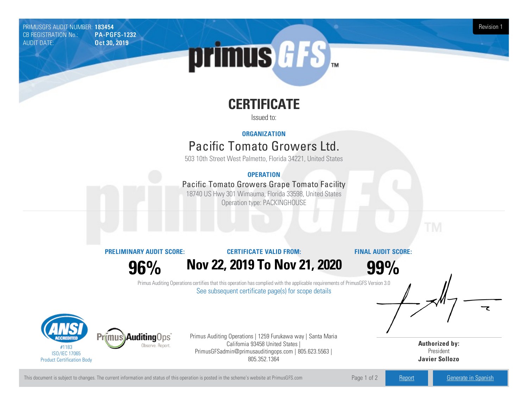PRIMUSGFS AUDIT NUMBER: 183454 Revision 1 CB REGISTRATION No.: PA-PGFS-1232 AUDIT DATE: **Oct 30, 2019** 

# primus GFS

# **CERTIFICATE**

Issued to:

## **ORGANIZATION**

# Pacific Tomato Growers Ltd.

503 10th Street West Palmetto, Florida 34221, United States

## **OPERATION**

# Pacific Tomato Growers Grape Tomato Facility

18740 US Hwy 301 Wimauma, Florida 33598, United States Operation type: PACKINGHOUSE

**PRELIMINARY AUDIT SCORE:**

**96%**

### **CERTIFICATE VALID FROM:**

**Nov22, 2019 To Nov21, 2020**

**FINAL AUDIT SCORE:**

**99%**

Primus Auditing Operations certifies that this operation has complied with the applicable requirements of PrimusGFS Version 3.0 See subsequent certificate page(s) for scope details



Primus Auditing Operations | 1259 Furukawa way | Santa Maria California 93458 United States | PrimusGFSadmin@primusauditingops.com | 805.623.5563 | 805.352.1364

**Authorized by:** President **Javier Sollozo**

This document is subject to changes. The current information and status of this operation is posted in the scheme's website at PrimusGFS.com Page 1 of 2 [Report](https://secure.azzule.com/PGFSDocuments/PGFS_AuditReport183454_9244_1_EN.pdf) [Generate](https://secure.azzule.com/PrimusGFSAudits/pdfGenerator.aspx?AuditHeaderID=51022857074094195983588646334623772346887&AppId=32527032686&LanguageID=1&UserId=1) in Spanish